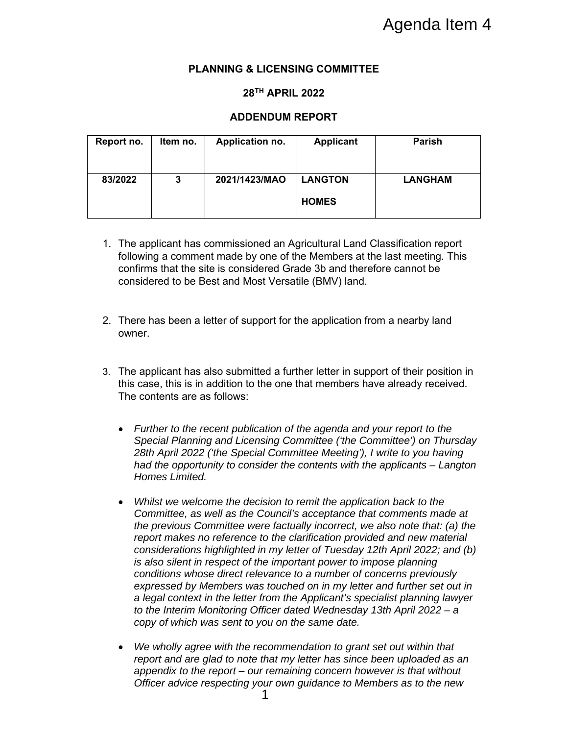### **PLANNING & LICENSING COMMITTEE**

### **28TH APRIL 2022**

### **ADDENDUM REPORT**

| Report no. | Item no. | Application no. | <b>Applicant</b>               | <b>Parish</b>  |
|------------|----------|-----------------|--------------------------------|----------------|
| 83/2022    | 3        | 2021/1423/MAO   | <b>LANGTON</b><br><b>HOMES</b> | <b>LANGHAM</b> |

- 1. The applicant has commissioned an Agricultural Land Classification report following a comment made by one of the Members at the last meeting. This confirms that the site is considered Grade 3b and therefore cannot be considered to be Best and Most Versatile (BMV) land.
- 2. There has been a letter of support for the application from a nearby land owner.
- 3. The applicant has also submitted a further letter in support of their position in this case, this is in addition to the one that members have already received. The contents are as follows:
	- *Further to the recent publication of the agenda and your report to the Special Planning and Licensing Committee ('the Committee') on Thursday*  28th April 2022 ('the Special Committee Meeting'), I write to you having *had the opportunity to consider the contents with the applicants – Langton Homes Limited.*
	- *Whilst we welcome the decision to remit the application back to the Committee, as well as the Council's acceptance that comments made at the previous Committee were factually incorrect, we also note that: (a) the report makes no reference to the clarification provided and new material considerations highlighted in my letter of Tuesday 12th April 2022; and (b) is also silent in respect of the important power to impose planning conditions whose direct relevance to a number of concerns previously expressed by Members was touched on in my letter and further set out in a legal context in the letter from the Applicant's specialist planning lawyer to the Interim Monitoring Officer dated Wednesday 13th April 2022 – a copy of which was sent to you on the same date.*
	- *We wholly agree with the recommendation to grant set out within that report and are glad to note that my letter has since been uploaded as an appendix to the report – our remaining concern however is that without Officer advice respecting your own guidance to Members as to the new*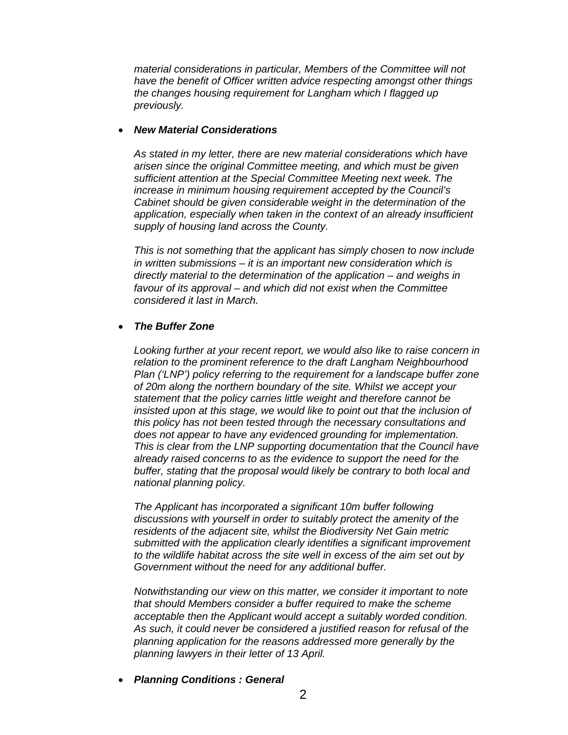*material considerations in particular, Members of the Committee will not have the benefit of Officer written advice respecting amongst other things the changes housing requirement for Langham which I flagged up previously.* 

#### *New Material Considerations*

*As stated in my letter, there are new material considerations which have arisen since the original Committee meeting, and which must be given sufficient attention at the Special Committee Meeting next week. The increase in minimum housing requirement accepted by the Council's Cabinet should be given considerable weight in the determination of the application, especially when taken in the context of an already insufficient supply of housing land across the County.* 

*This is not something that the applicant has simply chosen to now include in written submissions – it is an important new consideration which is directly material to the determination of the application – and weighs in favour of its approval – and which did not exist when the Committee considered it last in March.* 

#### *The Buffer Zone*

*Looking further at your recent report, we would also like to raise concern in relation to the prominent reference to the draft Langham Neighbourhood Plan ('LNP')* policy referring to the requirement for a landscape buffer zone *of 20m along the northern boundary of the site. Whilst we accept your statement that the policy carries little weight and therefore cannot be insisted upon at this stage, we would like to point out that the inclusion of this policy has not been tested through the necessary consultations and does not appear to have any evidenced grounding for implementation. This is clear from the LNP supporting documentation that the Council have already raised concerns to as the evidence to support the need for the buffer, stating that the proposal would likely be contrary to both local and national planning policy.* 

*The Applicant has incorporated a significant 10m buffer following discussions with yourself in order to suitably protect the amenity of the residents of the adjacent site, whilst the Biodiversity Net Gain metric submitted with the application clearly identifies a significant improvement to the wildlife habitat across the site well in excess of the aim set out by Government without the need for any additional buffer.* 

*Notwithstanding our view on this matter, we consider it important to note that should Members consider a buffer required to make the scheme acceptable then the Applicant would accept a suitably worded condition. As such, it could never be considered a justified reason for refusal of the planning application for the reasons addressed more generally by the planning lawyers in their letter of 13 April.* 

*Planning Conditions : General*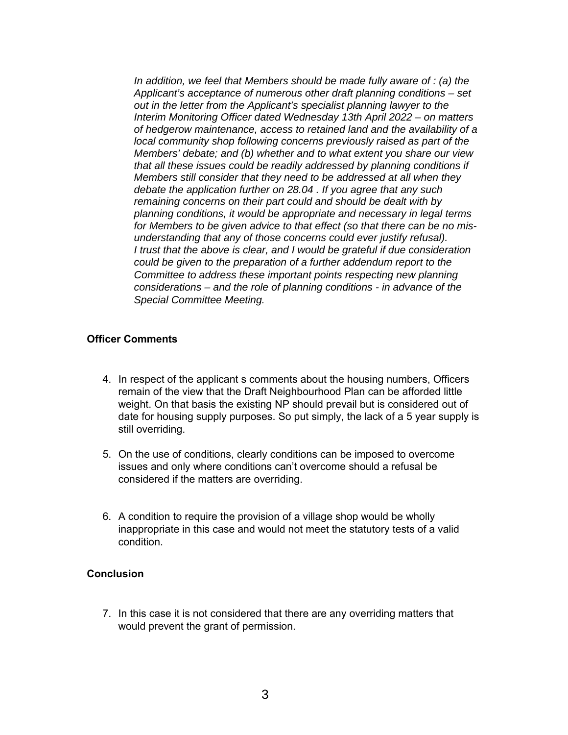*In addition, we feel that Members should be made fully aware of : (a) the Applicant's acceptance of numerous other draft planning conditions – set out in the letter from the Applicant's specialist planning lawyer to the Interim Monitoring Officer dated Wednesday 13th April 2022 – on matters of hedgerow maintenance, access to retained land and the availability of a local community shop following concerns previously raised as part of the Members' debate; and (b) whether and to what extent you share our view that all these issues could be readily addressed by planning conditions if Members still consider that they need to be addressed at all when they debate the application further on 28.04 . If you agree that any such remaining concerns on their part could and should be dealt with by planning conditions, it would be appropriate and necessary in legal terms for Members to be given advice to that effect (so that there can be no misunderstanding that any of those concerns could ever justify refusal). I trust that the above is clear, and I would be grateful if due consideration could be given to the preparation of a further addendum report to the Committee to address these important points respecting new planning considerations – and the role of planning conditions - in advance of the Special Committee Meeting.* 

#### **Officer Comments**

- 4. In respect of the applicant s comments about the housing numbers, Officers remain of the view that the Draft Neighbourhood Plan can be afforded little weight. On that basis the existing NP should prevail but is considered out of date for housing supply purposes. So put simply, the lack of a 5 year supply is still overriding.
- 5. On the use of conditions, clearly conditions can be imposed to overcome issues and only where conditions can't overcome should a refusal be considered if the matters are overriding.
- 6. A condition to require the provision of a village shop would be wholly inappropriate in this case and would not meet the statutory tests of a valid condition.

#### **Conclusion**

7. In this case it is not considered that there are any overriding matters that would prevent the grant of permission.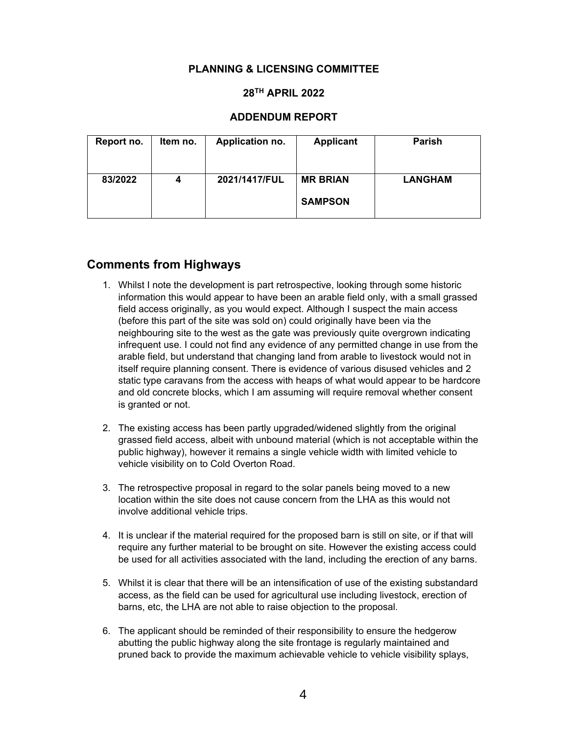### **PLANNING & LICENSING COMMITTEE**

### **28TH APRIL 2022**

#### **ADDENDUM REPORT**

| Report no. | Item no. | Application no. | <b>Applicant</b>                  | <b>Parish</b>  |
|------------|----------|-----------------|-----------------------------------|----------------|
| 83/2022    | 4        | 2021/1417/FUL   | <b>MR BRIAN</b><br><b>SAMPSON</b> | <b>LANGHAM</b> |

# **Comments from Highways**

- 1. Whilst I note the development is part retrospective, looking through some historic information this would appear to have been an arable field only, with a small grassed field access originally, as you would expect. Although I suspect the main access (before this part of the site was sold on) could originally have been via the neighbouring site to the west as the gate was previously quite overgrown indicating infrequent use. I could not find any evidence of any permitted change in use from the arable field, but understand that changing land from arable to livestock would not in itself require planning consent. There is evidence of various disused vehicles and 2 static type caravans from the access with heaps of what would appear to be hardcore and old concrete blocks, which I am assuming will require removal whether consent is granted or not.
- 2. The existing access has been partly upgraded/widened slightly from the original grassed field access, albeit with unbound material (which is not acceptable within the public highway), however it remains a single vehicle width with limited vehicle to vehicle visibility on to Cold Overton Road.
- 3. The retrospective proposal in regard to the solar panels being moved to a new location within the site does not cause concern from the LHA as this would not involve additional vehicle trips.
- 4. It is unclear if the material required for the proposed barn is still on site, or if that will require any further material to be brought on site. However the existing access could be used for all activities associated with the land, including the erection of any barns.
- 5. Whilst it is clear that there will be an intensification of use of the existing substandard access, as the field can be used for agricultural use including livestock, erection of barns, etc, the LHA are not able to raise objection to the proposal.
- 6. The applicant should be reminded of their responsibility to ensure the hedgerow abutting the public highway along the site frontage is regularly maintained and pruned back to provide the maximum achievable vehicle to vehicle visibility splays,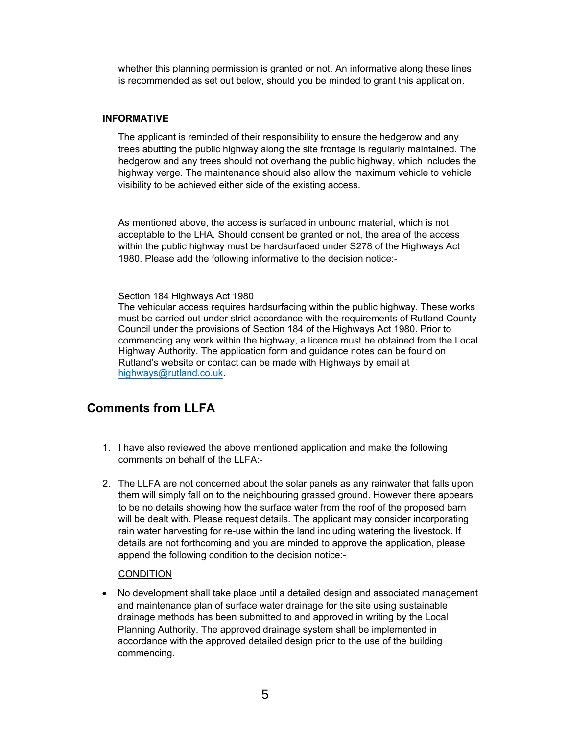whether this planning permission is granted or not. An informative along these lines is recommended as set out below, should you be minded to grant this application.

#### **INFORMATIVE**

The applicant is reminded of their responsibility to ensure the hedgerow and any trees abutting the public highway along the site frontage is regularly maintained. The hedgerow and any trees should not overhang the public highway, which includes the highway verge. The maintenance should also allow the maximum vehicle to vehicle visibility to be achieved either side of the existing access.

As mentioned above, the access is surfaced in unbound material, which is not acceptable to the LHA. Should consent be granted or not, the area of the access within the public highway must be hardsurfaced under S278 of the Highways Act 1980. Please add the following informative to the decision notice:-

#### Section 184 Highways Act 1980

The vehicular access requires hardsurfacing within the public highway. These works must be carried out under strict accordance with the requirements of Rutland County Council under the provisions of Section 184 of the Highways Act 1980. Prior to commencing any work within the highway, a licence must be obtained from the Local Highway Authority. The application form and guidance notes can be found on Rutland's website or contact can be made with Highways by email at highways@rutland.co.uk.

## **Comments from LLFA**

- 1. I have also reviewed the above mentioned application and make the following comments on behalf of the LLFA:-
- 2. The LLFA are not concerned about the solar panels as any rainwater that falls upon them will simply fall on to the neighbouring grassed ground. However there appears to be no details showing how the surface water from the roof of the proposed barn will be dealt with. Please request details. The applicant may consider incorporating rain water harvesting for re-use within the land including watering the livestock. If details are not forthcoming and you are minded to approve the application, please append the following condition to the decision notice:-

#### CONDITION

 No development shall take place until a detailed design and associated management and maintenance plan of surface water drainage for the site using sustainable drainage methods has been submitted to and approved in writing by the Local Planning Authority. The approved drainage system shall be implemented in accordance with the approved detailed design prior to the use of the building commencing.